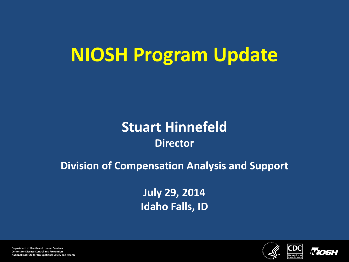# **NIOSH Program Update**

### **Stuart Hinnefeld Director**

### **Division of Compensation Analysis and Support**

**July 29, 2014 Idaho Falls, ID**





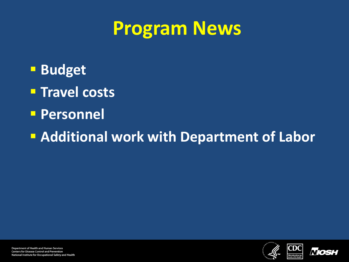## **Program News**

- **Budget**
- **Travel costs**
- **Personnel**

**Additional work with Department of Labor** 



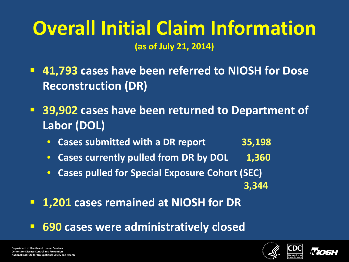### **Overall Initial Claim Information (as of July 21, 2014)**

 **41,793 cases have been referred to NIOSH for Dose Reconstruction (DR)**

- **39,902 cases have been returned to Department of Labor (DOL)**
	- **Cases submitted with a DR report 35,198**
	- **Cases currently pulled from DR by DOL 1,360**
	- **Cases pulled for Special Exposure Cohort (SEC) 3,344**
- **1,201 cases remained at NIOSH for DR**
- **690 cases were administratively closed**



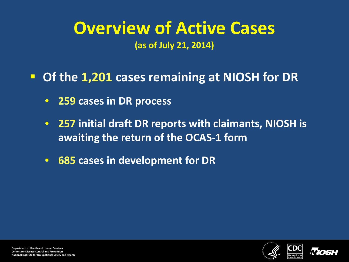### **Overview of Active Cases (as of July 21, 2014)**

**Of the 1,201 cases remaining at NIOSH for DR**

- **259 cases in DR process**
- **257 initial draft DR reports with claimants, NIOSH is awaiting the return of the OCAS-1 form**
- **685 cases in development for DR**

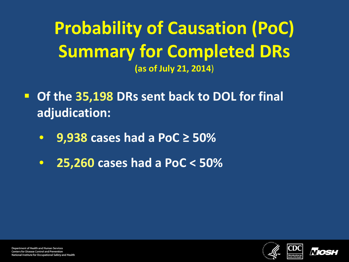**Probability of Causation (PoC) Summary for Completed DRs (as of July 21, 2014**)

- **Of the 35,198 DRs sent back to DOL for final adjudication:**
	- **9,938 cases had a PoC ≥ 50%**
	- **25,260 cases had a PoC < 50%**



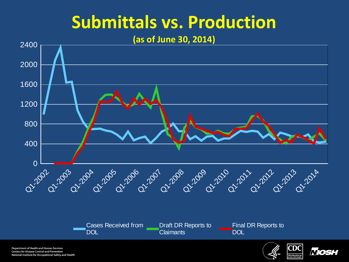## **Submittals vs. Production**

#### **(as of June 30, 2014)**



Cases Received from **DOL** Draft DR Reports to **Claimants Final DR Reports to DOL** 

**Department of Health and Human Services Centers for Disease Control and Prevention** National Institute for Occupational Safety and Health



*Nios*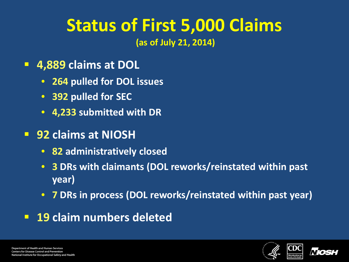# **Status of First 5,000 Claims**

**(as of July 21, 2014)** 

- **4,889 claims at DOL**
	- **264 pulled for DOL issues**
	- **392 pulled for SEC**
	- **4,233 submitted with DR**
- **92 claims at NIOSH**
	- **82 administratively closed**
	- **3 DRs with claimants (DOL reworks/reinstated within past year)**
	- **7 DRs in process (DOL reworks/reinstated within past year)**
- **19 claim numbers deleted**



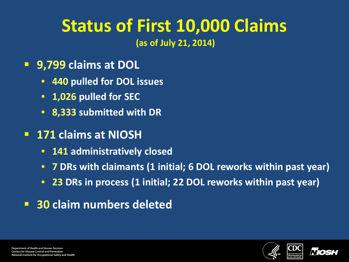# **Status of First 10,000 Claims**

**(as of July 21, 2014)** 

- **9,799 claims at DOL**
	- **440 pulled for DOL issues**
	- **1,026 pulled for SEC**
	- **8,333 submitted with DR**
- **171 claims at NIOSH**
	- **141 administratively closed**
	- **7 DRs with claimants (1 initial; 6 DOL reworks within past year)**
	- **23 DRs in process (1 initial; 22 DOL reworks within past year)**
- **30 claim numbers deleted**



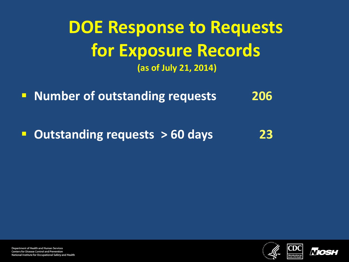**DOE Response to Requests for Exposure Records (as of July 21, 2014)** 

**Number of outstanding requests 206** 

**Outstanding requests > 60 days 23**





**Department of Health and Human Services Centers for Disease Control and Prevention** National Institute for Occupational Safety and Health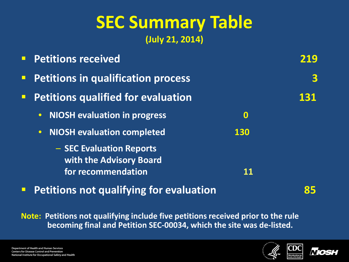## **SEC Summary Table (July 21, 2014)**

| <b>Petitions received</b>                           |            |     |
|-----------------------------------------------------|------------|-----|
| <b>Petitions in qualification process</b>           |            | 3   |
| <b>Petitions qualified for evaluation</b>           |            | 131 |
| <b>NIOSH evaluation in progress</b><br>$\bullet$    | $\bf{O}$   |     |
| <b>NIOSH evaluation completed</b><br>$\bullet$      | <b>130</b> |     |
| - SEC Evaluation Reports<br>with the Advisory Board |            |     |
| for recommendation                                  |            |     |

**Petitions not qualifying for evaluation 85**

**Note: Petitions not qualifying include five petitions received prior to the rule becoming final and Petition SEC-00034, which the site was de-listed.**